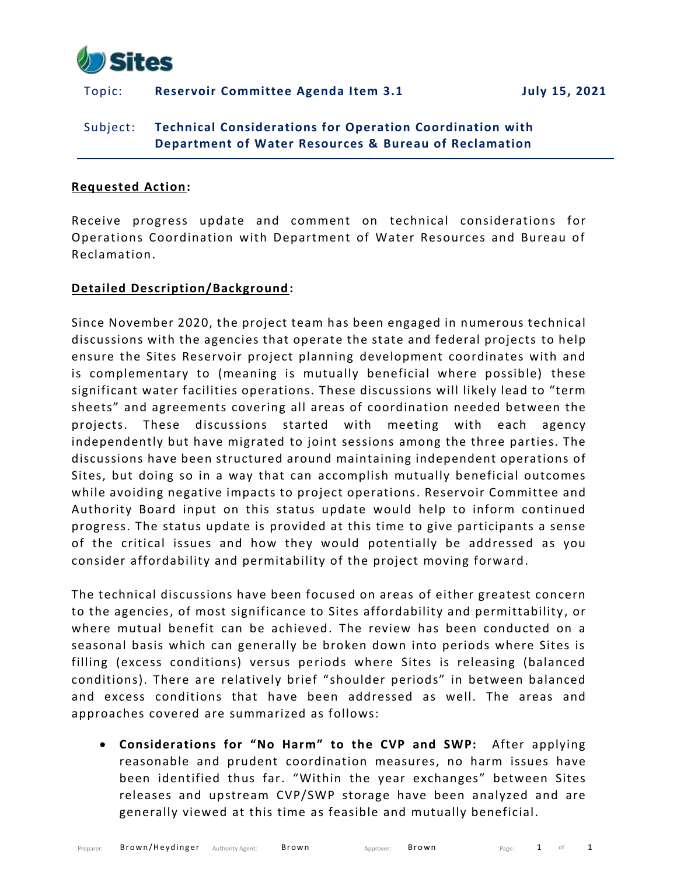

## Topic: **Reservoir Committee Agenda Item 3.1 July 15, 2021**

# Subject: **Technical Considerations for Operation Coordination with Department of Water Resources & Bureau of Reclamation**

#### **Requested Action:**

Receive progress update and comment on technical considerations for Operations Coordination with Department of Water Resources and Bureau of Reclamation.

### **Detailed Description/Background:**

Since November 2020, the project team has been engaged in numerous technical discussions with the agencies that operate the state and federal projects to help ensure the Sites Reservoir project planning development coordinates with and is complementary to (meaning is mutually beneficial where possible) these significant water facilities operations. These discussions will likely lead to "term sheets" and agreements covering all areas of coordination needed between the projects. These discussions started with meeting with each agency independently but have migrated to joint sessions among the three parties. The discussions have been structured around maintaining independent operations of Sites, but doing so in a way that can accomplish mutually beneficial outcomes while avoiding negative impacts to project operations. Reservoir Committee and Authority Board input on this status update would help to inform continued progress. The status update is provided at this time to give participants a sense of the critical issues and how they would potentially be addressed as you consider affordability and permitability of the project moving forward.

The technical discussions have been focused on areas of either greatest concern to the agencies, of most significance to Sites affordability and permittability, or where mutual benefit can be achieved. The review has been conducted on a seasonal basis which can generally be broken down into periods where Sites is filling (excess conditions) versus periods where Sites is releasing (balanced conditions). There are relatively brief "shoulder periods" in between balanced and excess conditions that have been addressed as well. The areas and approaches covered are summarized as follows:

• **Considerations for "No Harm" to the CVP and SWP:** After applying reasonable and prudent coordination measures, no harm issues have been identified thus far. "Within the year exchanges" between Sites releases and upstream CVP/SWP storage have been analyzed and are generally viewed at this time as feasible and mutually beneficial.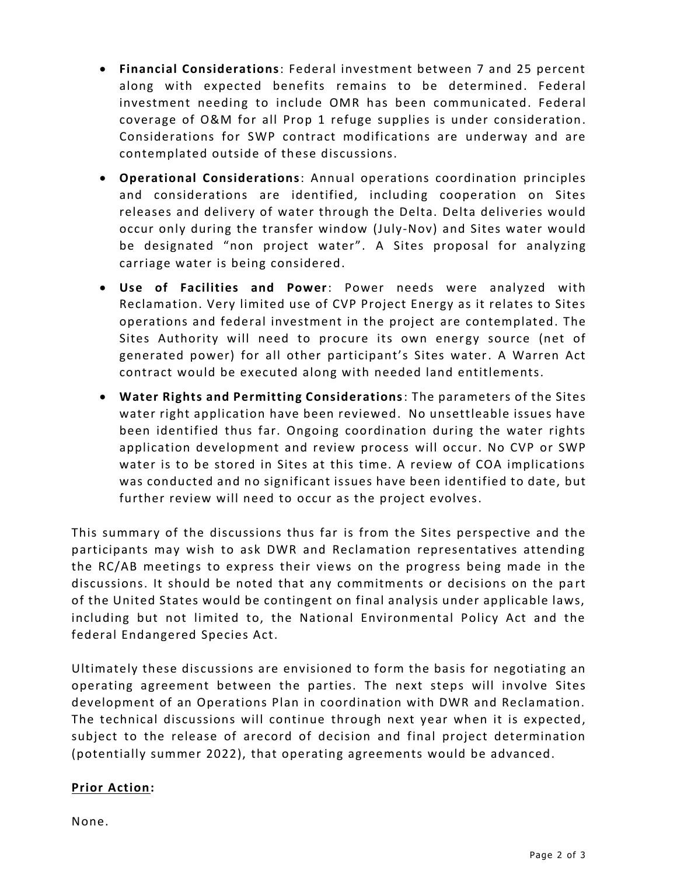- **Financial Considerations**: Federal investment between 7 and 25 percent along with expected benefits remains to be determined. Federal investment needing to include OMR has been communicated. Federal coverage of O&M for all Prop 1 refuge supplies is under consideration. Considerations for SWP contract modifications are underway and are contemplated outside of these discussions.
- **Operational Considerations**: Annual operations coordination principles and considerations are identified, including cooperation on Sites releases and delivery of water through the Delta. Delta deliveries would occur only during the transfer window (July-Nov) and Sites water would be designated "non project water". A Sites proposal for analyzing carriage water is being considered.
- **Use of Facilities and Power**: Power needs were analyzed with Reclamation. Very limited use of CVP Project Energy as it relates to Sites operations and federal investment in the project are contemplated. The Sites Authority will need to procure its own energy source (net of generated power) for all other participant's Sites water. A Warren Act contract would be executed along with needed land entitlements.
- **Water Rights and Permitting Considerations**: The parameters of the Sites water right application have been reviewed. No unsettleable issues have been identified thus far. Ongoing coordination during the water rights application development and review process will occur. No CVP or SWP water is to be stored in Sites at this time. A review of COA implications was conducted and no significant issues have been identified to date, but further review will need to occur as the project evolves.

This summary of the discussions thus far is from the Sites perspective and the participants may wish to ask DWR and Reclamation representatives attending the RC/AB meetings to express their views on the progress being made in the discussions. It should be noted that any commitments or decisions on the pa rt of the United States would be contingent on final analysis under applicable laws, including but not limited to, the National Environmental Policy Act and the federal Endangered Species Act.

Ultimately these discussions are envisioned to form the basis for negotiating an operating agreement between the parties. The next steps will involve Sites development of an Operations Plan in coordination with DWR and Reclamation. The technical discussions will continue through next year when it is expected, subject to the release of arecord of decision and final project determination (potentially summer 2022), that operating agreements would be advanced.

# **Prior Action:**

None.